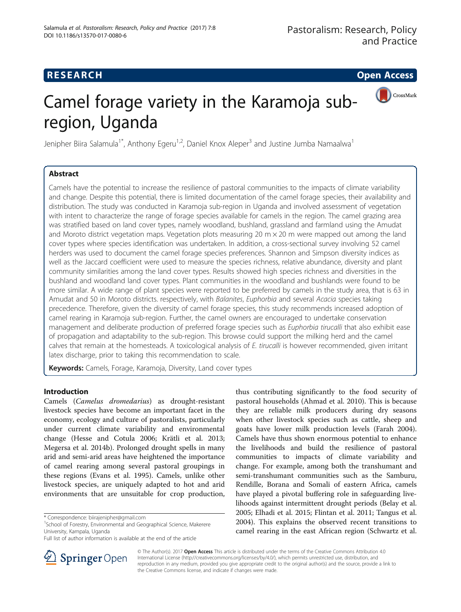# **RESEARCH CHE Open Access**

CrossMark

# Camel forage variety in the Karamoja subregion, Uganda

Jenipher Biira Salamula<sup>1\*</sup>, Anthony Egeru<sup>1,2</sup>, Daniel Knox Aleper<sup>3</sup> and Justine Jumba Namaalwa<sup>1</sup>

# Abstract

Camels have the potential to increase the resilience of pastoral communities to the impacts of climate variability and change. Despite this potential, there is limited documentation of the camel forage species, their availability and distribution. The study was conducted in Karamoja sub-region in Uganda and involved assessment of vegetation with intent to characterize the range of forage species available for camels in the region. The camel grazing area was stratified based on land cover types, namely woodland, bushland, grassland and farmland using the Amudat and Moroto district vegetation maps. Vegetation plots measuring 20  $m \times 20$  m were mapped out among the land cover types where species identification was undertaken. In addition, a cross-sectional survey involving 52 camel herders was used to document the camel forage species preferences. Shannon and Simpson diversity indices as well as the Jaccard coefficient were used to measure the species richness, relative abundance, diversity and plant community similarities among the land cover types. Results showed high species richness and diversities in the bushland and woodland land cover types. Plant communities in the woodland and bushlands were found to be more similar. A wide range of plant species were reported to be preferred by camels in the study area, that is 63 in Amudat and 50 in Moroto districts. respectively, with Balanites, Euphorbia and several Acacia species taking precedence. Therefore, given the diversity of camel forage species, this study recommends increased adoption of camel rearing in Karamoja sub-region. Further, the camel owners are encouraged to undertake conservation management and deliberate production of preferred forage species such as Euphorbia tirucalli that also exhibit ease of propagation and adaptability to the sub-region. This browse could support the milking herd and the camel calves that remain at the homesteads. A toxicological analysis of E. tirucalli is however recommended, given irritant latex discharge, prior to taking this recommendation to scale.

Keywords: Camels, Forage, Karamoja, Diversity, Land cover types

# Introduction

Camels (Camelus dromedarius) as drought-resistant livestock species have become an important facet in the economy, ecology and culture of pastoralists, particularly under current climate variability and environmental change (Hesse and Cotula [2006;](#page-9-0) Krätli et al. [2013](#page-9-0); Megersa et al. [2014b](#page-9-0)). Prolonged drought spells in many arid and semi-arid areas have heightened the importance of camel rearing among several pastoral groupings in these regions (Evans et al. [1995\)](#page-8-0). Camels, unlike other livestock species, are uniquely adapted to hot and arid environments that are unsuitable for crop production,

<sup>1</sup>School of Forestry, Environmental and Geographical Science, Makerere University, Kampala, Uganda

thus contributing significantly to the food security of pastoral households (Ahmad et al. [2010\)](#page-8-0). This is because they are reliable milk producers during dry seasons when other livestock species such as cattle, sheep and goats have lower milk production levels (Farah [2004](#page-8-0)). Camels have thus shown enormous potential to enhance the livelihoods and build the resilience of pastoral communities to impacts of climate variability and change. For example, among both the transhumant and semi-transhumant communities such as the Samburu, Rendille, Borana and Somali of eastern Africa, camels have played a pivotal buffering role in safeguarding livelihoods against intermittent drought periods (Belay et al. [2005](#page-8-0); Elhadi et al. [2015](#page-8-0); Flintan et al. [2011;](#page-9-0) Tangus et al. [2004](#page-9-0)). This explains the observed recent transitions to camel rearing in the east African region (Schwartz et al.



© The Author(s). 2017 **Open Access** This article is distributed under the terms of the Creative Commons Attribution 4.0 International License ([http://creativecommons.org/licenses/by/4.0/\)](http://creativecommons.org/licenses/by/4.0/), which permits unrestricted use, distribution, and reproduction in any medium, provided you give appropriate credit to the original author(s) and the source, provide a link to the Creative Commons license, and indicate if changes were made.

<sup>\*</sup> Correspondence: [biirajenipher@gmail.com](mailto:biirajenipher@gmail.com) <sup>1</sup>

Full list of author information is available at the end of the article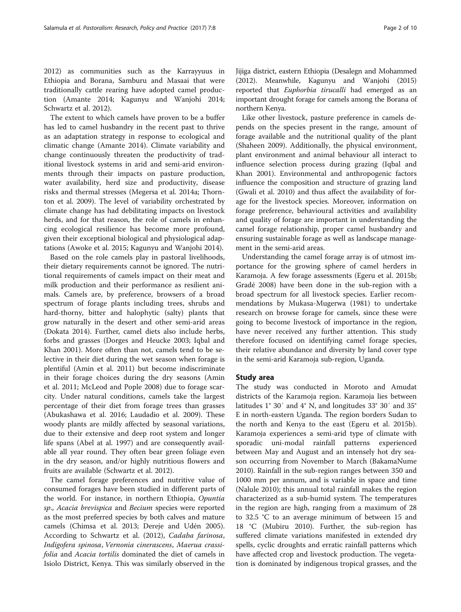[2012](#page-9-0)) as communities such as the Karrayyuus in Ethiopia and Borana, Samburu and Masaai that were traditionally cattle rearing have adopted camel production (Amante [2014;](#page-8-0) Kagunyu and Wanjohi [2014](#page-9-0); Schwartz et al. [2012\)](#page-9-0).

The extent to which camels have proven to be a buffer has led to camel husbandry in the recent past to thrive as an adaptation strategy in response to ecological and climatic change (Amante [2014\)](#page-8-0). Climate variability and change continuously threaten the productivity of traditional livestock systems in arid and semi-arid environments through their impacts on pasture production, water availability, herd size and productivity, disease risks and thermal stresses (Megersa et al. [2014a](#page-9-0); Thornton et al. [2009\)](#page-9-0). The level of variability orchestrated by climate change has had debilitating impacts on livestock herds, and for that reason, the role of camels in enhancing ecological resilience has become more profound, given their exceptional biological and physiological adaptations (Awoke et al. [2015;](#page-8-0) Kagunyu and Wanjohi [2014\)](#page-9-0).

Based on the role camels play in pastoral livelihoods, their dietary requirements cannot be ignored. The nutritional requirements of camels impact on their meat and milk production and their performance as resilient animals. Camels are, by preference, browsers of a broad spectrum of forage plants including trees, shrubs and hard-thorny, bitter and halophytic (salty) plants that grow naturally in the desert and other semi-arid areas (Dokata [2014](#page-8-0)). Further, camel diets also include herbs, forbs and grasses (Dorges and Heucke [2003](#page-8-0); Iqbal and Khan [2001](#page-9-0)). More often than not, camels tend to be selective in their diet during the wet season when forage is plentiful (Amin et al. [2011\)](#page-8-0) but become indiscriminate in their forage choices during the dry seasons (Amin et al. [2011;](#page-8-0) McLeod and Pople [2008](#page-9-0)) due to forage scarcity. Under natural conditions, camels take the largest percentage of their diet from forage trees than grasses (Abukashawa et al. [2016;](#page-8-0) Laudadio et al. [2009](#page-9-0)). These woody plants are mildly affected by seasonal variations, due to their extensive and deep root system and longer life spans (Abel at al. [1997](#page-8-0)) and are consequently available all year round. They often bear green foliage even in the dry season, and/or highly nutritious flowers and fruits are available (Schwartz et al. [2012\)](#page-9-0).

The camel forage preferences and nutritive value of consumed forages have been studied in different parts of the world. For instance, in northern Ethiopia, Opuntia sp., Acacia brevispica and Becium species were reported as the most preferred species by both calves and mature camels (Chimsa et al. [2013](#page-8-0); Dereje and Udén [2005](#page-8-0)). According to Schwartz et al. [\(2012\)](#page-9-0), Cadaba farinosa, Indigofera spinosa, Vernonia cinerascens, Maerua crassifolia and Acacia tortilis dominated the diet of camels in Isiolo District, Kenya. This was similarly observed in the Jijiga district, eastern Ethiopia (Desalegn and Mohammed ([2012](#page-8-0)). Meanwhile, Kagunyu and Wanjohi [\(2015](#page-9-0)) reported that *Euphorbia tirucalli* had emerged as an important drought forage for camels among the Borana of northern Kenya.

Like other livestock, pasture preference in camels depends on the species present in the range, amount of forage available and the nutritional quality of the plant (Shaheen [2009\)](#page-9-0). Additionally, the physical environment, plant environment and animal behaviour all interact to influence selection process during grazing (Iqbal and Khan [2001](#page-9-0)). Environmental and anthropogenic factors influence the composition and structure of grazing land (Gwali et al. [2010\)](#page-9-0) and thus affect the availability of forage for the livestock species. Moreover, information on forage preference, behavioural activities and availability and quality of forage are important in understanding the camel forage relationship, proper camel husbandry and ensuring sustainable forage as well as landscape management in the semi-arid areas.

Understanding the camel forage array is of utmost importance for the growing sphere of camel herders in Karamoja. A few forage assessments (Egeru et al. [2015b](#page-8-0); Gradé [2008\)](#page-9-0) have been done in the sub-region with a broad spectrum for all livestock species. Earlier recommendations by Mukasa-Mugerwa ([1981](#page-9-0)) to undertake research on browse forage for camels, since these were going to become livestock of importance in the region, have never received any further attention. This study therefore focused on identifying camel forage species, their relative abundance and diversity by land cover type in the semi-arid Karamoja sub-region, Uganda.

# Study area

The study was conducted in Moroto and Amudat districts of the Karamoja region. Karamoja lies between latitudes 1° 30′ and 4° N, and longitudes 33° 30′ and 35° E in north-eastern Uganda. The region borders Sudan to the north and Kenya to the east (Egeru et al. [2015b](#page-8-0)). Karamoja experiences a semi-arid type of climate with sporadic uni-modal rainfall patterns experienced between May and August and an intensely hot dry season occurring from November to March (BakamaNume [2010](#page-8-0)). Rainfall in the sub-region ranges between 350 and 1000 mm per annum, and is variable in space and time (Nalule [2010](#page-9-0)); this annual total rainfall makes the region characterized as a sub-humid system. The temperatures in the region are high, ranging from a maximum of 28 to 32.5 °C to an average minimum of between 15 and 18 °C (Mubiru [2010\)](#page-9-0). Further, the sub-region has suffered climate variations manifested in extended dry spells, cyclic droughts and erratic rainfall patterns which have affected crop and livestock production. The vegetation is dominated by indigenous tropical grasses, and the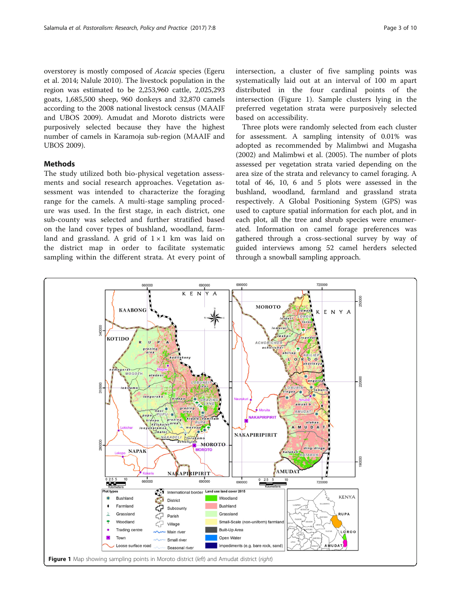overstorey is mostly composed of Acacia species (Egeru et al. [2014](#page-8-0); Nalule [2010\)](#page-9-0). The livestock population in the region was estimated to be 2,253,960 cattle, 2,025,293 goats, 1,685,500 sheep, 960 donkeys and 32,870 camels according to the 2008 national livestock census (MAAIF and UBOS [2009\)](#page-9-0). Amudat and Moroto districts were purposively selected because they have the highest number of camels in Karamoja sub-region (MAAIF and UBOS [2009\)](#page-9-0).

# Methods

The study utilized both bio-physical vegetation assessments and social research approaches. Vegetation assessment was intended to characterize the foraging range for the camels. A multi-stage sampling procedure was used. In the first stage, in each district, one sub-county was selected and further stratified based on the land cover types of bushland, woodland, farmland and grassland. A grid of  $1 \times 1$  km was laid on the district map in order to facilitate systematic sampling within the different strata. At every point of intersection, a cluster of five sampling points was systematically laid out at an interval of 100 m apart distributed in the four cardinal points of the intersection (Figure 1). Sample clusters lying in the preferred vegetation strata were purposively selected based on accessibility.

Three plots were randomly selected from each cluster for assessment. A sampling intensity of 0.01% was adopted as recommended by Malimbwi and Mugasha ([2002\)](#page-9-0) and Malimbwi et al. ([2005\)](#page-9-0). The number of plots assessed per vegetation strata varied depending on the area size of the strata and relevancy to camel foraging. A total of 46, 10, 6 and 5 plots were assessed in the bushland, woodland, farmland and grassland strata respectively. A Global Positioning System (GPS) was used to capture spatial information for each plot, and in each plot, all the tree and shrub species were enumerated. Information on camel forage preferences was gathered through a cross-sectional survey by way of guided interviews among 52 camel herders selected through a snowball sampling approach.

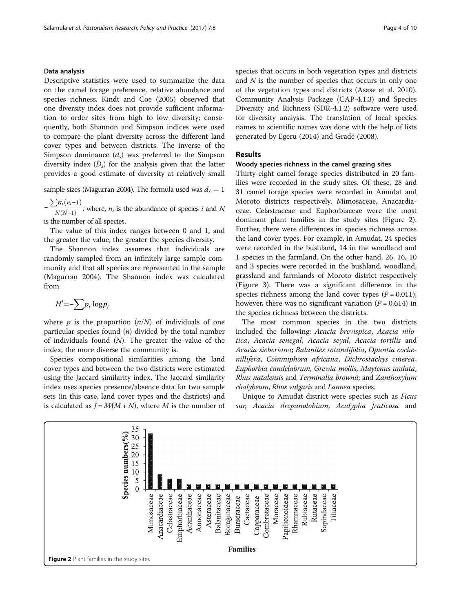# Data analysis

Descriptive statistics were used to summarize the data on the camel forage preference, relative abundance and species richness. Kindt and Coe ([2005](#page-9-0)) observed that one diversity index does not provide sufficient information to order sites from high to low diversity; consequently, both Shannon and Simpson indices were used to compare the plant diversity across the different land cover types and between districts. The inverse of the Simpson dominance  $(d<sub>s</sub>)$  was preferred to the Simpson diversity index  $(D_s)$  for the analysis given that the latter provides a good estimate of diversity at relatively small

sample sizes (Magurran [2004\)](#page-9-0). The formula used was  $d_s = 1$ 

 $-\frac{\sum n_i(n_i-1)}{\sum (n_i-1)}$  $\frac{N(N-1)}{N(N-1)}$ , where,  $n_i$  is the abundance of species i and N is the number of all species.

The value of this index ranges between 0 and 1, and the greater the value, the greater the species diversity.

The Shannon index assumes that individuals are randomly sampled from an infinitely large sample community and that all species are represented in the sample (Magurran [2004\)](#page-9-0). The Shannon index was calculated from

$$
H' {=} {-} \sum p_i \log p_i
$$

where *p* is the proportion  $(n/N)$  of individuals of one particular species found  $(n)$  divided by the total number of individuals found  $(N)$ . The greater the value of the index, the more diverse the community is.

Species compositional similarities among the land cover types and between the two districts were estimated using the Jaccard similarity index. The Jaccard similarity index uses species presence/absence data for two sample sets (in this case, land cover types and the districts) and is calculated as  $J = M(M + N)$ , where M is the number of species that occurs in both vegetation types and districts and  $N$  is the number of species that occurs in only one of the vegetation types and districts (Asase et al. [2010](#page-8-0)). Community Analysis Package (CAP-4.1.3) and Species Diversity and Richness (SDR-4.1.2) software were used for diversity analysis. The translation of local species names to scientific names was done with the help of lists generated by Egeru ([2014](#page-8-0)) and Gradé [\(2008](#page-9-0)).

#### Results

#### Woody species richness in the camel grazing sites

Thirty-eight camel forage species distributed in 20 families were recorded in the study sites. Of these, 28 and 31 camel forage species were recorded in Amudat and Moroto districts respectively. Mimosaceae, Anacardiaceae, Celastraceae and Euphorbiaceae were the most dominant plant families in the study sites (Figure 2). Further, there were differences in species richness across the land cover types. For example, in Amudat, 24 species were recorded in the bushland, 14 in the woodland and 1 species in the farmland. On the other hand, 26, 16, 10 and 3 species were recorded in the bushland, woodland, grassland and farmlands of Moroto district respectively (Figure [3\)](#page-4-0). There was a significant difference in the species richness among the land cover types  $(P = 0.011)$ ; however, there was no significant variation ( $P = 0.614$ ) in the species richness between the districts.

The most common species in the two districts included the following: Acacia brevispica, Acacia nilotica, Acacia senegal, Acacia seyal, Acacia tortilis and Acacia sieberiana; Balanites rotundifolia, Opuntia cochenillifera, Commiphora africana, Dichrostachys cinerea, Euphorbia candelabrum, Grewia mollis, Maytenus undata, Rhus natalensis and Terminalia brownii; and Zanthoxylum chalybeum, Rhus vulgaris and Lannea species.

Unique to Amudat district were species such as Ficus sur, Acacia drepanolobium, Acalypha fruticosa and

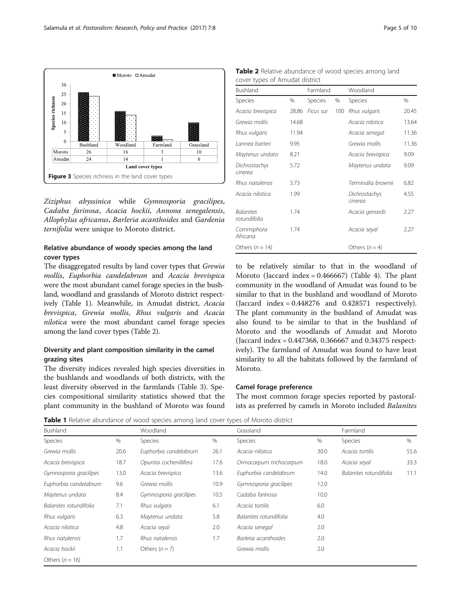Ziziphus abyssinica while Gymnosporia gracilipes, Cadaba farinosa, Acacia hockii, Annona senegalensis, Allophylus africanus, Barleria acanthoides and Gardenia ternifolia were unique to Moroto district.

Land cover types

Figure 3 Species richness in the land cover types

Woodland

16

 $\overline{14}$ 

Bushland

 $26$ 

 $\overline{24}$ 

<span id="page-4-0"></span>30 25

species richness 20 15  $10$  $\overline{5}$  $\mathbf{0}$ 

Moroto

Amudat

# Relative abundance of woody species among the land cover types

The disaggregated results by land cover types that Grewia mollis, Euphorbia candelabrum and Acacia brevispica were the most abundant camel forage species in the bushland, woodland and grasslands of Moroto district respectively (Table 1). Meanwhile, in Amudat district, Acacia brevispica, Grewia mollis, Rhus vulgaris and Acacia nilotica were the most abundant camel forage species among the land cover types (Table 2).

# Diversity and plant composition similarity in the camel grazing sites

The diversity indices revealed high species diversities in the bushlands and woodlands of both districts, with the least diversity observed in the farmlands (Table [3](#page-5-0)). Species compositional similarity statistics showed that the plant community in the bushland of Moroto was found

| Table 2 Relative abundance of wood species among land |  |
|-------------------------------------------------------|--|
| cover types of Amudat district                        |  |

| Bushland                         |       | Farmland  |     | Woodland                 |       |
|----------------------------------|-------|-----------|-----|--------------------------|-------|
| Species                          | %     | Species   | %   | <b>Species</b>           | %     |
| Acacia brevispica                | 28.86 | Ficus sur | 100 | Rhus vulgaris            | 20.45 |
| Grewia mollis                    | 14.68 |           |     | Acacia nilotica          | 13.64 |
| Rhus vulgaris                    | 11.94 |           |     | Acacia senegal           | 11.36 |
| Lannea barteri                   | 9.95  |           |     | Grewia mollis            | 11.36 |
| Maytenus undata                  | 8.21  |           |     | Acacia brevispica        | 9.09  |
| Dichrostachys<br>cinerea         | 5.72  |           |     | Maytenus undata          | 9.09  |
| Rhus natalensis                  | 3.73  |           |     | Terminalia brownii       | 6.82  |
| Acacia nilotica                  | 1.99  |           |     | Dichrostachys<br>cinerea | 4.55  |
| <b>Balanites</b><br>rotundifolia | 1.74  |           |     | Acacia gerrardii         | 2.27  |
| Commiphora<br>Africana           | 1.74  |           |     | Acacia seyal             | 2.27  |
| Others $(n = 14)$                |       |           |     | Others $(n = 4)$         |       |

to be relatively similar to that in the woodland of Moroto (Jaccard index =  $0.466667$ ) (Table [4\)](#page-5-0). The plant community in the woodland of Amudat was found to be similar to that in the bushland and woodland of Moroto  $\text{(Jaccard index} = 0.448276 \text{ and } 0.428571 \text{ respectively)}.$ The plant community in the bushland of Amudat was also found to be similar to that in the bushland of Moroto and the woodlands of Amudat and Moroto (Jaccard index = 0.447368, 0.366667 and 0.34375 respectively). The farmland of Amudat was found to have least similarity to all the habitats followed by the farmland of Moroto.

# Camel forage preference

The most common forage species reported by pastoralists as preferred by camels in Moroto included Balanites

**Table 1** Relative abundance of wood species among land cover types of Moroto district

| Bushland               |      | Woodland               |      | Grassland               |      | Farmland               |      |
|------------------------|------|------------------------|------|-------------------------|------|------------------------|------|
| Species                | $\%$ | <b>Species</b>         | %    | <b>Species</b>          | %    | <b>Species</b>         | $\%$ |
| Grewia mollis          | 20.6 | Euphorbia candelabrum  | 26.1 | Acacia nilotica         | 30.0 | Acacia tortilis        | 55.6 |
| Acacia brevispica      | 18.7 | Opuntia cochenillifera | 17.6 | Ormocarpum trichocarpum | 18.0 | Acacia seyal           | 33.3 |
| Gymnosporia gracilipes | 13.0 | Acacia brevispica      | 13.6 | Euphorbia candelabrum   | 14.0 | Balanites rotundifolia | 11.1 |
| Euphorbia candelabrum  | 9.6  | Grewia mollis          | 10.9 | Gymnosporia gracilipes  | 12.0 |                        |      |
| Maytenus undata        | 8.4  | Gymnosporia gracilipes | 10.5 | Cadaba farinosa         | 10.0 |                        |      |
| Balanites rotundifolia | 7.1  | Rhus vulgaris          | 6.1  | Acacia tortilis         | 6.0  |                        |      |
| Rhus vulgaris          | 6.3  | Maytenus undata        | 5.8  | Balanites rotundifolia  | 4.0  |                        |      |
| Acacia nilotica        | 4.8  | Acacia seval           | 2.0  | Acacia senegal          | 2.0  |                        |      |
| Rhus natalensis        | 1.7  | Rhus natalensis        | 1.7  | Barleria acanthoides    | 2.0  |                        |      |
| Acacia hockii          | 1.1  | Others $(n = 7)$       |      | Grewia mollis           | 2.0  |                        |      |
| Others $(n = 16)$      |      |                        |      |                         |      |                        |      |



Grassland

 $10$ 

 $\overline{0}$ 

Farmland

 $\mathbf{3}$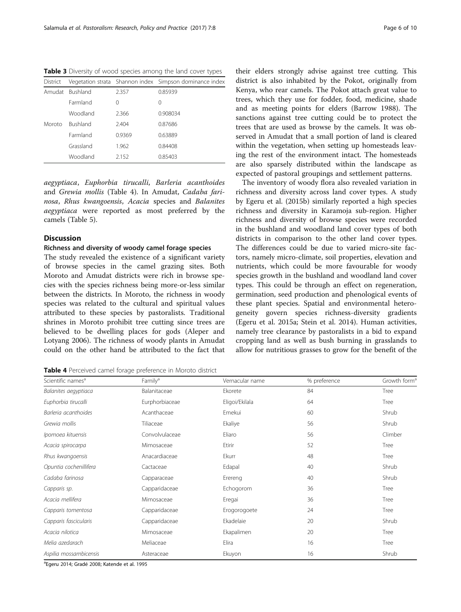<span id="page-5-0"></span>Table 3 Diversity of wood species among the land cover types

| District |                 |        | Vegetation strata Shannon index Simpson dominance index |
|----------|-----------------|--------|---------------------------------------------------------|
|          | Amudat Bushland | 2.357  | 0.85939                                                 |
|          | Farmland        | 0      | 0                                                       |
|          | Woodland        | 2.366  | 0.908034                                                |
| Moroto   | <b>Bushland</b> | 2.404  | 0.87686                                                 |
|          | Farmland        | 0.9369 | 0.63889                                                 |
|          | Grassland       | 1.962  | 0.84408                                                 |
|          | Woodland        | 2.152  | 0.85403                                                 |

aegyptiaca, Euphorbia tirucalli, Barleria acanthoides and Grewia mollis (Table 4). In Amudat, Cadaba farinosa, Rhus kwangoensis, Acacia species and Balanites aegyptiaca were reported as most preferred by the camels (Table [5\)](#page-6-0).

# **Discussion**

#### Richness and diversity of woody camel forage species

The study revealed the existence of a significant variety of browse species in the camel grazing sites. Both Moroto and Amudat districts were rich in browse species with the species richness being more-or-less similar between the districts. In Moroto, the richness in woody species was related to the cultural and spiritual values attributed to these species by pastoralists. Traditional shrines in Moroto prohibit tree cutting since trees are believed to be dwelling places for gods (Aleper and Lotyang [2006](#page-8-0)). The richness of woody plants in Amudat could on the other hand be attributed to the fact that

Table 4 Perceived camel forage preference in Moroto district

their elders strongly advise against tree cutting. This district is also inhabited by the Pokot, originally from Kenya, who rear camels. The Pokot attach great value to trees, which they use for fodder, food, medicine, shade and as meeting points for elders (Barrow [1988\)](#page-8-0). The sanctions against tree cutting could be to protect the trees that are used as browse by the camels. It was observed in Amudat that a small portion of land is cleared within the vegetation, when setting up homesteads leaving the rest of the environment intact. The homesteads are also sparsely distributed within the landscape as expected of pastoral groupings and settlement patterns.

The inventory of woody flora also revealed variation in richness and diversity across land cover types. A study by Egeru et al. [\(2015b\)](#page-8-0) similarly reported a high species richness and diversity in Karamoja sub-region. Higher richness and diversity of browse species were recorded in the bushland and woodland land cover types of both districts in comparison to the other land cover types. The differences could be due to varied micro-site factors, namely micro-climate, soil properties, elevation and nutrients, which could be more favourable for woody species growth in the bushland and woodland land cover types. This could be through an effect on regeneration, germination, seed production and phenological events of these plant species. Spatial and environmental heterogeneity govern species richness-diversity gradients (Egeru et al. [2015a](#page-8-0); Stein et al. [2014](#page-9-0)). Human activities, namely tree clearance by pastoralists in a bid to expand cropping land as well as bush burning in grasslands to allow for nutritious grasses to grow for the benefit of the

| Scientific names <sup>a</sup> | Family <sup>a</sup> | Vernacular name | % preference | Growth form <sup>a</sup> |
|-------------------------------|---------------------|-----------------|--------------|--------------------------|
| Balanites aegyptiaca          | Balanitaceae        | Ekorete         | 84           | Tree                     |
| Euphorbia tirucalli           | Eurphorbiaceae      | Eligoi/Ekilala  | 64           | Tree                     |
| Barleria acanthoides          | Acanthaceae         | Emekui          | 60           | Shrub                    |
| Grewia mollis                 | Tiliaceae           | Ekaliye         | 56           | Shrub                    |
| Ipomoea kituensis             | Convolvulaceae      | Eliaro          | 56           | Climber                  |
| Acacia spirocarpa             | Mimosaceae          | Etirir          | 52           | Tree                     |
| Rhus kwangoensis              | Anacardiaceae       | Ekurr           | 48           | Tree                     |
| Opuntia cochenillifera        | Cactaceae           | Edapal          | 40           | Shrub                    |
| Cadaba farinosa               | Capparaceae         | Erereng         | 40           | Shrub                    |
| Capparis sp.                  | Capparidaceae       | Echogorom       | 36           | Tree                     |
| Acacia mellifera              | Mimosaceae          | Eregai          | 36           | Tree                     |
| Capparis tomentosa            | Capparidaceae       | Erogorogoete    | 24           | Tree                     |
| Capparis fascicularis         | Capparidaceae       | Ekadelaie       | 20           | Shrub                    |
| Acacia nilotica               | Mimosaceae          | Ekapalimen      | 20           | Tree                     |
| Melia azedarach               | Meliaceae           | Elira           | 16           | Tree                     |
| Aspilia mossambicensis        | Asteraceae          | Ekuyon          | 16           | Shrub                    |

<sup>a</sup>Egeru [2014](#page-8-0); Gradé [2008;](#page-9-0) Katende et al. [1995](#page-9-0)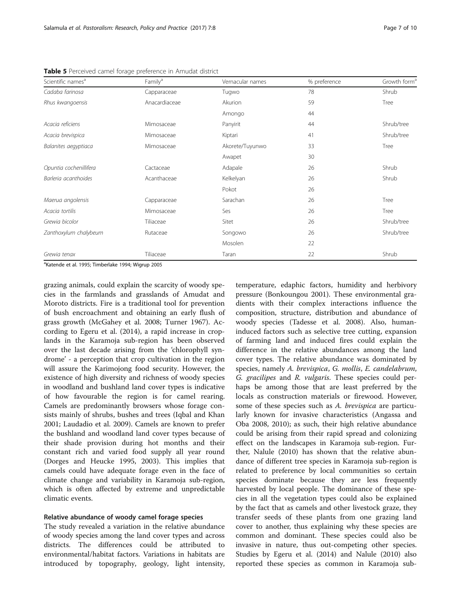| Scientific names <sup>a</sup> | Family <sup>a</sup> | Vernacular names | % preference | Growth form <sup>a</sup> |
|-------------------------------|---------------------|------------------|--------------|--------------------------|
| Cadaba farinosa               | Capparaceae         | Tugwo            | 78           | Shrub                    |
| Rhus kwangoensis              | Anacardiaceae       | Akurion          | 59           | Tree                     |
|                               |                     | Amongo           | 44           |                          |
| Acacia reficiens              | Mimosaceae          | Panyirit         | 44           | Shrub/tree               |
| Acacia brevispica             | Mimosaceae          | Kiptari          | 41           | Shrub/tree               |
| Balanites aegyptiaca          | Mimosaceae          | Akorete/Tuyunwo  | 33           | Tree                     |
|                               |                     | Awapet           | 30           |                          |
| Opuntia cochenillifera        | Cactaceae           | Adapale          | 26           | Shrub                    |
| Barleria acanthoides          | Acanthaceae         | Kelkelyan        | 26           | Shrub                    |
|                               |                     | Pokot            | 26           |                          |
| Maerua angolensis             | Capparaceae         | Sarachan         | 26           | Tree                     |
| Acacia tortilis               | Mimosaceae          | Ses              | 26           | Tree                     |
| Grewia bicolor                | Tiliaceae           | Sitet            | 26           | Shrub/tree               |
| Zanthoxylum chalybeum         | Rutaceae            | Songowo          | 26           | Shrub/tree               |
|                               |                     | Mosolen          | 22           |                          |
| Grewia tenax                  | Tiliaceae           | Taran            | 22           | Shrub                    |

<span id="page-6-0"></span>Table 5 Perceived camel forage preference in Amudat district

<sup>a</sup>Katende et al. [1995](#page-9-0); Timberlake [1994](#page-9-0); Wigrup [2005](#page-9-0)

grazing animals, could explain the scarcity of woody species in the farmlands and grasslands of Amudat and Moroto districts. Fire is a traditional tool for prevention of bush encroachment and obtaining an early flush of grass growth (McGahey et al. [2008;](#page-9-0) Turner [1967](#page-9-0)). According to Egeru et al. [\(2014\)](#page-8-0), a rapid increase in croplands in the Karamoja sub-region has been observed over the last decade arising from the 'chlorophyll syndrome' - a perception that crop cultivation in the region will assure the Karimojong food security. However, the existence of high diversity and richness of woody species in woodland and bushland land cover types is indicative of how favourable the region is for camel rearing. Camels are predominantly browsers whose forage consists mainly of shrubs, bushes and trees (Iqbal and Khan [2001](#page-9-0); Laudadio et al. [2009\)](#page-9-0). Camels are known to prefer the bushland and woodland land cover types because of their shade provision during hot months and their constant rich and varied food supply all year round (Dorges and Heucke [1995, 2003](#page-8-0)). This implies that camels could have adequate forage even in the face of climate change and variability in Karamoja sub-region, which is often affected by extreme and unpredictable climatic events.

# Relative abundance of woody camel forage species

The study revealed a variation in the relative abundance of woody species among the land cover types and across districts. The differences could be attributed to environmental/habitat factors. Variations in habitats are introduced by topography, geology, light intensity,

temperature, edaphic factors, humidity and herbivory pressure (Bonkoungou [2001\)](#page-8-0). These environmental gradients with their complex interactions influence the composition, structure, distribution and abundance of woody species (Tadesse et al. [2008](#page-9-0)). Also, humaninduced factors such as selective tree cutting, expansion of farming land and induced fires could explain the difference in the relative abundances among the land cover types. The relative abundance was dominated by species, namely A. brevispica, G. mollis, E. candelabrum, G. gracilipes and R. vulgaris. These species could perhaps be among those that are least preferred by the locals as construction materials or firewood. However, some of these species such as A. brevispica are particularly known for invasive characteristics (Angassa and Oba [2008](#page-8-0), [2010\)](#page-8-0); as such, their high relative abundance could be arising from their rapid spread and colonizing effect on the landscapes in Karamoja sub-region. Further, Nalule ([2010](#page-9-0)) has shown that the relative abundance of different tree species in Karamoja sub-region is related to preference by local communities so certain species dominate because they are less frequently harvested by local people. The dominance of these species in all the vegetation types could also be explained by the fact that as camels and other livestock graze, they transfer seeds of these plants from one grazing land cover to another, thus explaining why these species are common and dominant. These species could also be invasive in nature, thus out-competing other species. Studies by Egeru et al. [\(2014\)](#page-8-0) and Nalule ([2010\)](#page-9-0) also reported these species as common in Karamoja sub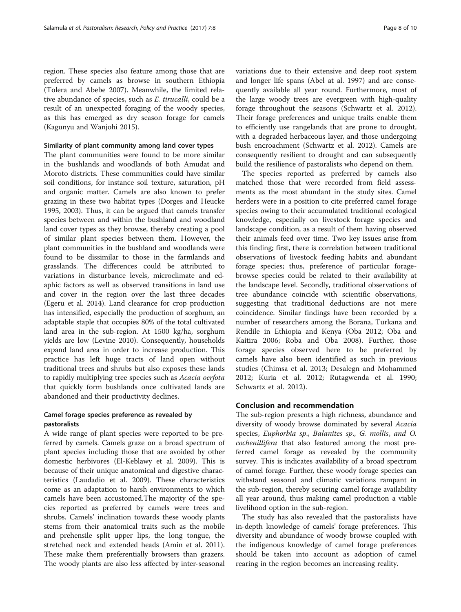region. These species also feature among those that are preferred by camels as browse in southern Ethiopia (Tolera and Abebe [2007](#page-9-0)). Meanwhile, the limited relative abundance of species, such as E. tirucalli, could be a result of an unexpected foraging of the woody species, as this has emerged as dry season forage for camels (Kagunyu and Wanjohi [2015\)](#page-9-0).

#### Similarity of plant community among land cover types

The plant communities were found to be more similar in the bushlands and woodlands of both Amudat and Moroto districts. These communities could have similar soil conditions, for instance soil texture, saturation, pH and organic matter. Camels are also known to prefer grazing in these two habitat types (Dorges and Heucke [1995](#page-8-0), [2003\)](#page-8-0). Thus, it can be argued that camels transfer species between and within the bushland and woodland land cover types as they browse, thereby creating a pool of similar plant species between them. However, the plant communities in the bushland and woodlands were found to be dissimilar to those in the farmlands and grasslands. The differences could be attributed to variations in disturbance levels, microclimate and edaphic factors as well as observed transitions in land use and cover in the region over the last three decades (Egeru et al. [2014\)](#page-8-0). Land clearance for crop production has intensified, especially the production of sorghum, an adaptable staple that occupies 80% of the total cultivated land area in the sub-region. At 1500 kg/ha, sorghum yields are low (Levine [2010\)](#page-9-0). Consequently, households expand land area in order to increase production. This practice has left huge tracts of land open without traditional trees and shrubs but also exposes these lands to rapidly multiplying tree species such as Acacia oerfota that quickly form bushlands once cultivated lands are abandoned and their productivity declines.

# Camel forage species preference as revealed by pastoralists

A wide range of plant species were reported to be preferred by camels. Camels graze on a broad spectrum of plant species including those that are avoided by other domestic herbivores (El-Keblawy et al. [2009\)](#page-8-0). This is because of their unique anatomical and digestive characteristics (Laudadio et al. [2009](#page-9-0)). These characteristics come as an adaptation to harsh environments to which camels have been accustomed.The majority of the species reported as preferred by camels were trees and shrubs. Camels' inclination towards these woody plants stems from their anatomical traits such as the mobile and prehensile split upper lips, the long tongue, the stretched neck and extended heads (Amin et al. [2011](#page-8-0)). These make them preferentially browsers than grazers. The woody plants are also less affected by inter-seasonal

variations due to their extensive and deep root system and longer life spans (Abel at al. [1997\)](#page-8-0) and are consequently available all year round. Furthermore, most of the large woody trees are evergreen with high-quality forage throughout the seasons (Schwartz et al. [2012](#page-9-0)). Their forage preferences and unique traits enable them to efficiently use rangelands that are prone to drought, with a degraded herbaceous layer, and those undergoing bush encroachment (Schwartz et al. [2012\)](#page-9-0). Camels are consequently resilient to drought and can subsequently build the resilience of pastoralists who depend on them.

The species reported as preferred by camels also matched those that were recorded from field assessments as the most abundant in the study sites. Camel herders were in a position to cite preferred camel forage species owing to their accumulated traditional ecological knowledge, especially on livestock forage species and landscape condition, as a result of them having observed their animals feed over time. Two key issues arise from this finding; first, there is correlation between traditional observations of livestock feeding habits and abundant forage species; thus, preference of particular foragebrowse species could be related to their availability at the landscape level. Secondly, traditional observations of tree abundance coincide with scientific observations, suggesting that traditional deductions are not mere coincidence. Similar findings have been recorded by a number of researchers among the Borana, Turkana and Rendile in Ethiopia and Kenya (Oba [2012;](#page-9-0) Oba and Kaitira [2006;](#page-9-0) Roba and Oba [2008\)](#page-9-0). Further, those forage species observed here to be preferred by camels have also been identified as such in previous studies (Chimsa et al. [2013](#page-8-0); Desalegn and Mohammed [2012;](#page-8-0) Kuria et al. [2012;](#page-9-0) Rutagwenda et al. [1990](#page-9-0); Schwartz et al. [2012\)](#page-9-0).

# Conclusion and recommendation

The sub-region presents a high richness, abundance and diversity of woody browse dominated by several Acacia species, Euphorbia sp., Balanites sp., G. mollis, and O. cochenillifera that also featured among the most preferred camel forage as revealed by the community survey. This is indicates availability of a broad spectrum of camel forage. Further, these woody forage species can withstand seasonal and climatic variations rampant in the sub-region, thereby securing camel forage availability all year around, thus making camel production a viable livelihood option in the sub-region.

The study has also revealed that the pastoralists have in-depth knowledge of camels' forage preferences. This diversity and abundance of woody browse coupled with the indigenous knowledge of camel forage preferences should be taken into account as adoption of camel rearing in the region becomes an increasing reality.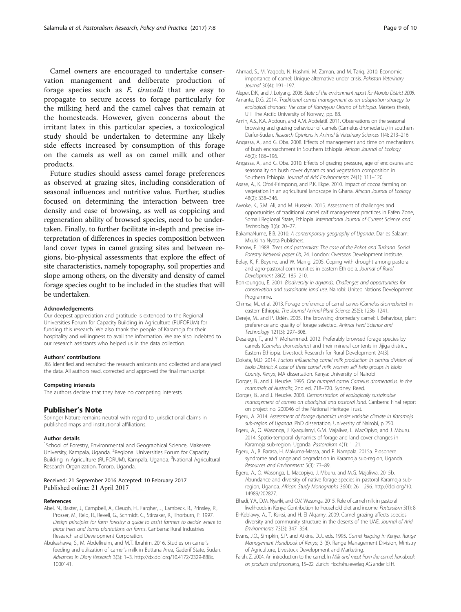<span id="page-8-0"></span>Camel owners are encouraged to undertake conservation management and deliberate production of forage species such as E. tirucalli that are easy to propagate to secure access to forage particularly for the milking herd and the camel calves that remain at the homesteads. However, given concerns about the irritant latex in this particular species, a toxicological study should be undertaken to determine any likely side effects increased by consumption of this forage on the camels as well as on camel milk and other products.

Future studies should assess camel forage preferences as observed at grazing sites, including consideration of seasonal influences and nutritive value. Further, studies focused on determining the interaction between tree density and ease of browsing, as well as coppicing and regeneration ability of browsed species, need to be undertaken. Finally, to further facilitate in-depth and precise interpretation of differences in species composition between land cover types in camel grazing sites and between regions, bio-physical assessments that explore the effect of site characteristics, namely topography, soil properties and slope among others, on the diversity and density of camel forage species ought to be included in the studies that will be undertaken.

#### Acknowledgements

Our deepest appreciation and gratitude is extended to the Regional Universities Forum for Capacity Building in Agriculture (RUFORUM) for funding this research. We also thank the people of Karamoja for their hospitality and willingness to avail the information. We are also indebted to our research assistants who helped us in the data collection.

#### Authors' contributions

JBS identified and recruited the research assistants and collected and analysed the data. All authors read, corrected and approved the final manuscript.

#### Competing interests

The authors declare that they have no competing interests.

#### Publisher's Note

Springer Nature remains neutral with regard to jurisdictional claims in published maps and institutional affiliations.

#### Author details

<sup>1</sup>School of Forestry, Environmental and Geographical Science, Makerere University, Kampala, Uganda. <sup>2</sup> Regional Universities Forum for Capacity Building in Agriculture (RUFORUM), Kampala, Uganda. <sup>3</sup>National Agricultural Research Organization, Tororo, Uganda.

#### Received: 21 September 2016 Accepted: 10 February 2017 Published online: 21 April 2017

#### References

- Abel, N., Baxter, J., Campbell, A., Cleugh, H., Fargher, J., Lambeck, R., Prinsley, R., Prosser, M., Reid, R., Revell, G., Schmidt, C., Stirzaker, R., Thorburn, P. 1997. Design principles for farm forestry: a guide to assist farmers to decide where to place trees and farms plantations on farms. Canberra: Rural Industries Research and Development Corporation.
- Abukashawa, S., M. Abdelkreim, and M.T. Ibrahim. 2016. Studies on camel's feeding and utilization of camel's milk in Buttana Area, Gaderif State, Sudan. Advances in Diary Research 3(3): 1–3. http://dx.doi.org/10.4172/2329-888x. 1000141.
- Ahmad, S., M. Yaqoob, N. Hashmi, M. Zaman, and M. Tariq. 2010. Economic importance of camel: Unique alternative under crisis. Pakistan Veterinary Journal 30(4): 191–197.
- Aleper, D.K., and J. Lotyang. 2006. State of the environment report for Moroto District 2006. Amante, D.G. 2014. Traditional camel management as an adaptation strategy to ecological changes: The case of Karrayyuu Oromo of Ethiopia. Masters thesis, UiT The Arctic University of Norway, pp. 88.
- Amin, A.S., K.A. Abdoun, and A.M. Abdelatif. 2011. Observations on the seasonal browsing and grazing behaviour of camels (Camelus dromedarius) in southern Darfur-Sudan. Research Opinions in Animal & Veterinary Sciences 1(4): 213–216.
- Angassa, A., and G. Oba. 2008. Effects of management and time on mechanisms of bush encroachment in Southern Ethiopia. African Journal of Ecology 46(2): 186–196.
- Angassa, A., and G. Oba. 2010. Effects of grazing pressure, age of enclosures and seasonality on bush cover dynamics and vegetation composition in Southern Ethiopia. Journal of Arid Environments 74(1): 111–120.
- Asase, A., K. Ofori‐Frimpong, and P.K. Ekpe. 2010. Impact of cocoa farming on vegetation in an agricultural landscape in Ghana. African Journal of Ecology 48(2): 338–346.
- Awoke, K., S.M. Ali, and M. Hussein. 2015. Assessment of challenges and opportunities of traditional camel calf management practices in Fafen Zone, Somali Regional State, Ethiopia. International Journal of Current Science and Technology 3(6): 20–27.
- BakamaNume, B.B. 2010. A contemporary geography of Uganda. Dar es Salaam: Mkuki na Nyota Publishers.
- Barrow, E. 1988. Trees and pastoralists: The case of the Pokot and Turkana. Social Forestry Network paper 6b, 24. London: Overseas Development Institute.
- Belay, K., F. Beyene, and W. Manig. 2005. Coping with drought among pastoral and agro-pastoral communities in eastern Ethiopia. Journal of Rural Development 28(2): 185–210.
- Bonkoungou, E. 2001. Biodiversity in drylands: Challenges and opportunities for conservation and sustainable land use. Nairobi: United Nations Development Programme.
- Chimsa, M., et al. 2013. Forage preference of camel calves (Camelus dromedaries) in eastern Ethiopia. The Journal Animal Plant Science 25(5): 1236–1241.
- Dereje, M., and P. Udén. 2005. The browsing dromedary camel: I. Behaviour, plant preference and quality of forage selected. Animal Feed Science and Technology 121(3): 297–308.
- Desalegn, T., and Y. Mohammed. 2012. Preferably browsed forage species by camels (Camelus dromedarius) and their mineral contents in Jijiga district, Eastern Ethiopia. Livestock Research for Rural Development 24(3).
- Dokata, M.D. 2014. Factors influencing camel milk production in central division of Isiolo District: A case of three camel milk women self help groups in Isiolo County, Kenya, MA dissertation. Kenya: University of Nairobi.
- Dorges, B., and J. Heucke. 1995. One humped camel Camelus dromedarius. In the mammals of Australia, 2nd ed, 718–720. Sydney: Reed.
- Dorges, B., and J. Heucke. 2003. Demonstration of ecologically sustainable management of camels on aboriginal and pastoral land. Canberra: Final report on project no. 200046 of the National Heritage Trust.
- Egeru, A. 2014. Assessment of forage dynamics under variable climate in Karamoja sub-region of Uganda. PhD dissertation, University of Nairobi, p 250.
- Egeru, A., O. Wasonga, J. Kyagulanyi, G.M. Majaliwa, L. MacOpiyo, and J. Mburu. 2014. Spatio-temporal dynamics of forage and land cover changes in Karamoja sub-region, Uganda. Pastoralism 4(1): 1–21.
- Egeru, A., B. Barasa, H. Makuma-Massa, and P. Nampala. 2015a. Piosphere syndrome and rangeland degradation in Karamoja sub-region, Uganda. Resources and Environment 5(3): 73–89.
- Egeru, A., O. Wasonga, L. Macopiyo, J. Mburu, and M.G. Majaliwa. 2015b. Abundance and diversity of native forage species in pastoral Karamoja subregion, Uganda. African Study Monographs 36(4): 261–296. http://doi.org/10. 14989/202827.
- Elhadi, Y.A., D.M. Nyariki, and O.V. Wasonga. 2015. Role of camel milk in pastoral livelihoods in Kenya: Contribution to household diet and income. Pastoralism 5(1): 8.
- El-Keblawy, A., T. Ksiksi, and H. El Alqamy. 2009. Camel grazing affects species diversity and community structure in the deserts of the UAE. Journal of Arid Environments 73(3): 347–354.
- Evans, J.O., Simpkin, S.P. and Atkins, D.J., eds. 1995. Camel keeping in Kenya. Range Management Handbook of Kenya, 3 (8). Range Management Division, Ministry of Agriculture, Livestock Development and Marketing.
- Farah, Z. 2004. An introduction to the camel. In Milk and meat from the camel: handbook on products and processing, 15–22. Zurich: Hochshuleverlag AG ander ETH.